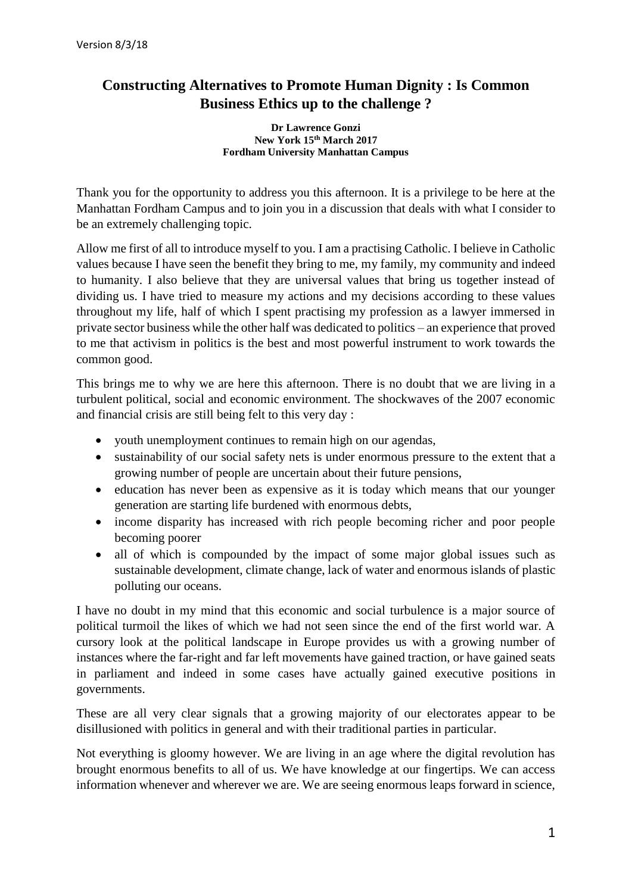## **Constructing Alternatives to Promote Human Dignity : Is Common Business Ethics up to the challenge ?**

## **Dr Lawrence Gonzi New York 15th March 2017 Fordham University Manhattan Campus**

Thank you for the opportunity to address you this afternoon. It is a privilege to be here at the Manhattan Fordham Campus and to join you in a discussion that deals with what I consider to be an extremely challenging topic.

Allow me first of all to introduce myself to you. I am a practising Catholic. I believe in Catholic values because I have seen the benefit they bring to me, my family, my community and indeed to humanity. I also believe that they are universal values that bring us together instead of dividing us. I have tried to measure my actions and my decisions according to these values throughout my life, half of which I spent practising my profession as a lawyer immersed in private sector business while the other half was dedicated to politics – an experience that proved to me that activism in politics is the best and most powerful instrument to work towards the common good.

This brings me to why we are here this afternoon. There is no doubt that we are living in a turbulent political, social and economic environment. The shockwaves of the 2007 economic and financial crisis are still being felt to this very day :

- youth unemployment continues to remain high on our agendas,
- sustainability of our social safety nets is under enormous pressure to the extent that a growing number of people are uncertain about their future pensions,
- education has never been as expensive as it is today which means that our younger generation are starting life burdened with enormous debts,
- income disparity has increased with rich people becoming richer and poor people becoming poorer
- all of which is compounded by the impact of some major global issues such as sustainable development, climate change, lack of water and enormous islands of plastic polluting our oceans.

I have no doubt in my mind that this economic and social turbulence is a major source of political turmoil the likes of which we had not seen since the end of the first world war. A cursory look at the political landscape in Europe provides us with a growing number of instances where the far-right and far left movements have gained traction, or have gained seats in parliament and indeed in some cases have actually gained executive positions in governments.

These are all very clear signals that a growing majority of our electorates appear to be disillusioned with politics in general and with their traditional parties in particular.

Not everything is gloomy however. We are living in an age where the digital revolution has brought enormous benefits to all of us. We have knowledge at our fingertips. We can access information whenever and wherever we are. We are seeing enormous leaps forward in science,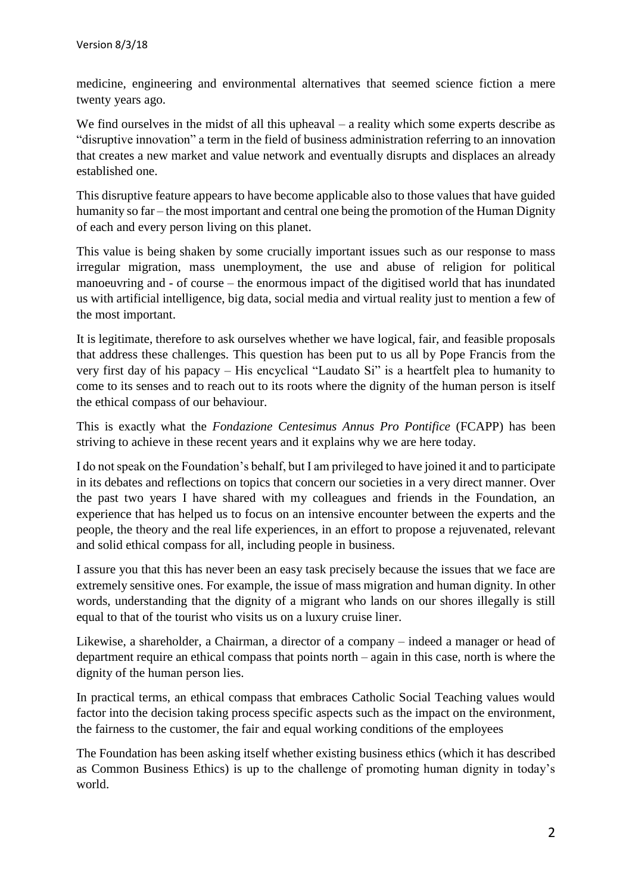medicine, engineering and environmental alternatives that seemed science fiction a mere twenty years ago.

We find ourselves in the midst of all this upheaval – a reality which some experts describe as "disruptive innovation" a term in the field of business administration referring to an innovation that creates a new market and value network and eventually disrupts and displaces an already established one.

This disruptive feature appears to have become applicable also to those values that have guided humanity so far – the most important and central one being the promotion of the Human Dignity of each and every person living on this planet.

This value is being shaken by some crucially important issues such as our response to mass irregular migration, mass unemployment, the use and abuse of religion for political manoeuvring and - of course – the enormous impact of the digitised world that has inundated us with artificial intelligence, big data, social media and virtual reality just to mention a few of the most important.

It is legitimate, therefore to ask ourselves whether we have logical, fair, and feasible proposals that address these challenges. This question has been put to us all by Pope Francis from the very first day of his papacy – His encyclical "Laudato Si" is a heartfelt plea to humanity to come to its senses and to reach out to its roots where the dignity of the human person is itself the ethical compass of our behaviour.

This is exactly what the *Fondazione Centesimus Annus Pro Pontifice* (FCAPP) has been striving to achieve in these recent years and it explains why we are here today.

I do not speak on the Foundation's behalf, but I am privileged to have joined it and to participate in its debates and reflections on topics that concern our societies in a very direct manner. Over the past two years I have shared with my colleagues and friends in the Foundation, an experience that has helped us to focus on an intensive encounter between the experts and the people, the theory and the real life experiences, in an effort to propose a rejuvenated, relevant and solid ethical compass for all, including people in business.

I assure you that this has never been an easy task precisely because the issues that we face are extremely sensitive ones. For example, the issue of mass migration and human dignity. In other words, understanding that the dignity of a migrant who lands on our shores illegally is still equal to that of the tourist who visits us on a luxury cruise liner.

Likewise, a shareholder, a Chairman, a director of a company – indeed a manager or head of department require an ethical compass that points north – again in this case, north is where the dignity of the human person lies.

In practical terms, an ethical compass that embraces Catholic Social Teaching values would factor into the decision taking process specific aspects such as the impact on the environment, the fairness to the customer, the fair and equal working conditions of the employees

The Foundation has been asking itself whether existing business ethics (which it has described as Common Business Ethics) is up to the challenge of promoting human dignity in today's world.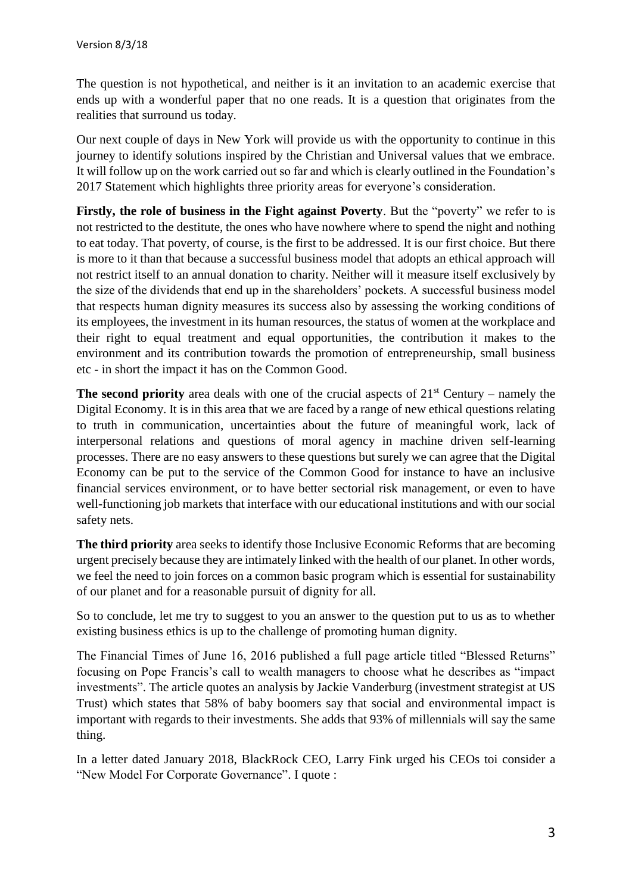The question is not hypothetical, and neither is it an invitation to an academic exercise that ends up with a wonderful paper that no one reads. It is a question that originates from the realities that surround us today.

Our next couple of days in New York will provide us with the opportunity to continue in this journey to identify solutions inspired by the Christian and Universal values that we embrace. It will follow up on the work carried out so far and which is clearly outlined in the Foundation's 2017 Statement which highlights three priority areas for everyone's consideration.

**Firstly, the role of business in the Fight against Poverty**. But the "poverty" we refer to is not restricted to the destitute, the ones who have nowhere where to spend the night and nothing to eat today. That poverty, of course, is the first to be addressed. It is our first choice. But there is more to it than that because a successful business model that adopts an ethical approach will not restrict itself to an annual donation to charity. Neither will it measure itself exclusively by the size of the dividends that end up in the shareholders' pockets. A successful business model that respects human dignity measures its success also by assessing the working conditions of its employees, the investment in its human resources, the status of women at the workplace and their right to equal treatment and equal opportunities, the contribution it makes to the environment and its contribution towards the promotion of entrepreneurship, small business etc - in short the impact it has on the Common Good.

**The second priority** area deals with one of the crucial aspects of  $21<sup>st</sup>$  Century – namely the Digital Economy. It is in this area that we are faced by a range of new ethical questions relating to truth in communication, uncertainties about the future of meaningful work, lack of interpersonal relations and questions of moral agency in machine driven self-learning processes. There are no easy answers to these questions but surely we can agree that the Digital Economy can be put to the service of the Common Good for instance to have an inclusive financial services environment, or to have better sectorial risk management, or even to have well-functioning job markets that interface with our educational institutions and with our social safety nets.

**The third priority** area seeks to identify those Inclusive Economic Reforms that are becoming urgent precisely because they are intimately linked with the health of our planet. In other words, we feel the need to join forces on a common basic program which is essential for sustainability of our planet and for a reasonable pursuit of dignity for all.

So to conclude, let me try to suggest to you an answer to the question put to us as to whether existing business ethics is up to the challenge of promoting human dignity.

The Financial Times of June 16, 2016 published a full page article titled "Blessed Returns" focusing on Pope Francis's call to wealth managers to choose what he describes as "impact investments". The article quotes an analysis by Jackie Vanderburg (investment strategist at US Trust) which states that 58% of baby boomers say that social and environmental impact is important with regards to their investments. She adds that 93% of millennials will say the same thing.

In a letter dated January 2018, BlackRock CEO, Larry Fink urged his CEOs toi consider a "New Model For Corporate Governance". I quote :